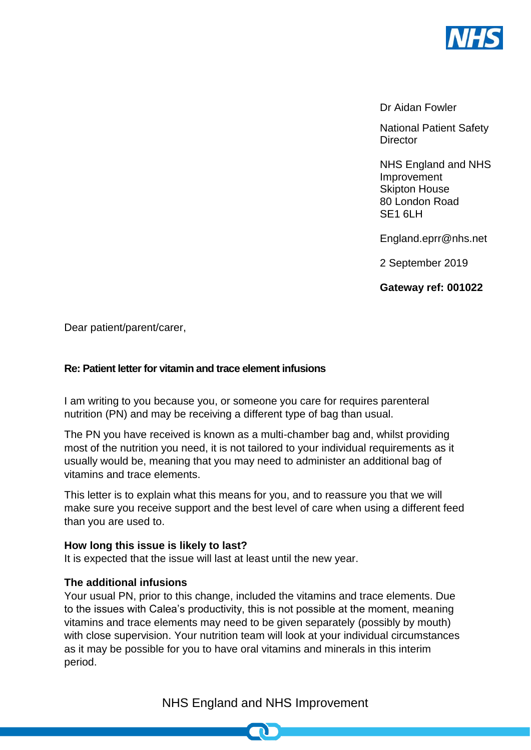

Dr Aidan Fowler

National Patient Safety **Director** 

NHS England and NHS Improvement Skipton House 80 London Road SE<sub>1</sub> 6LH

England.eprr@nhs.net

2 September 2019

**Gateway ref: 001022**

Dear patient/parent/carer,

## **Re: Patient letter for vitamin and trace element infusions**

I am writing to you because you, or someone you care for requires parenteral nutrition (PN) and may be receiving a different type of bag than usual.

The PN you have received is known as a multi-chamber bag and, whilst providing most of the nutrition you need, it is not tailored to your individual requirements as it usually would be, meaning that you may need to administer an additional bag of vitamins and trace elements.

This letter is to explain what this means for you, and to reassure you that we will make sure you receive support and the best level of care when using a different feed than you are used to.

#### **How long this issue is likely to last?**

It is expected that the issue will last at least until the new year.

## **The additional infusions**

Your usual PN, prior to this change, included the vitamins and trace elements. Due to the issues with Calea's productivity, this is not possible at the moment, meaning vitamins and trace elements may need to be given separately (possibly by mouth) with close supervision. Your nutrition team will look at your individual circumstances as it may be possible for you to have oral vitamins and minerals in this interim period.